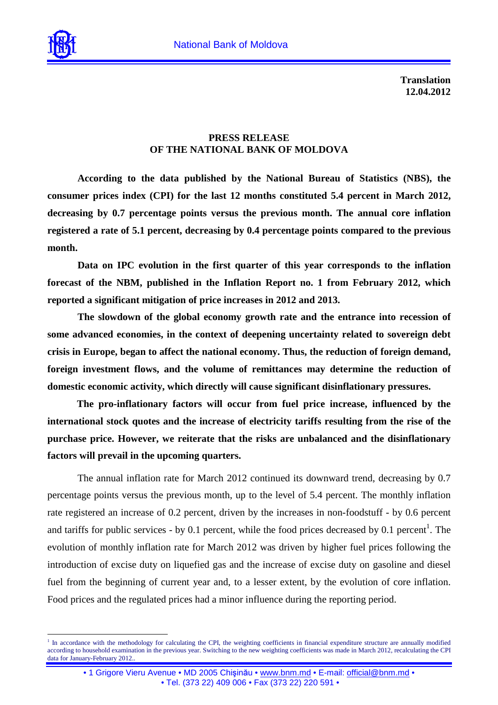

 $\overline{a}$ 

**Translation 12.04.2012** 

## **PRESS RELEASE OF THE NATIONAL BANK OF MOLDOVA**

**According to the data published by the National Bureau of Statistics (NBS), the consumer prices index (CPI) for the last 12 months constituted 5.4 percent in March 2012, decreasing by 0.7 percentage points versus the previous month. The annual core inflation registered a rate of 5.1 percent, decreasing by 0.4 percentage points compared to the previous month.** 

**Data on IPC evolution in the first quarter of this year corresponds to the inflation forecast of the NBM, published in the Inflation Report no. 1 from February 2012, which reported a significant mitigation of price increases in 2012 and 2013.** 

**The slowdown of the global economy growth rate and the entrance into recession of some advanced economies, in the context of deepening uncertainty related to sovereign debt crisis in Europe, began to affect the national economy. Thus, the reduction of foreign demand, foreign investment flows, and the volume of remittances may determine the reduction of domestic economic activity, which directly will cause significant disinflationary pressures.** 

**The pro-inflationary factors will occur from fuel price increase, influenced by the international stock quotes and the increase of electricity tariffs resulting from the rise of the purchase price. However, we reiterate that the risks are unbalanced and the disinflationary factors will prevail in the upcoming quarters.** 

The annual inflation rate for March 2012 continued its downward trend, decreasing by 0.7 percentage points versus the previous month, up to the level of 5.4 percent. The monthly inflation rate registered an increase of 0.2 percent, driven by the increases in non-foodstuff - by 0.6 percent and tariffs for public services - by 0.1 percent, while the food prices decreased by 0.1 percent<sup>1</sup>. The evolution of monthly inflation rate for March 2012 was driven by higher fuel prices following the introduction of excise duty on liquefied gas and the increase of excise duty on gasoline and diesel fuel from the beginning of current year and, to a lesser extent, by the evolution of core inflation. Food prices and the regulated prices had a minor influence during the reporting period.

<sup>1</sup> In accordance with the methodology for calculating the CPI, the weighting coefficients in financial expenditure structure are annually modified according to household examination in the previous year. Switching to the new weighting coefficients was made in March 2012, recalculating the CPI data for January-February 2012..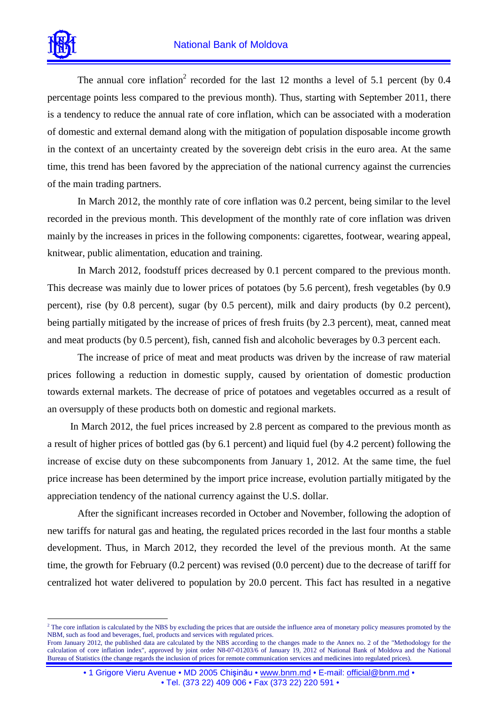

 $\overline{a}$ 

The annual core inflation<sup>2</sup> recorded for the last 12 months a level of 5.1 percent (by 0.4 percentage points less compared to the previous month). Thus, starting with September 2011, there is a tendency to reduce the annual rate of core inflation, which can be associated with a moderation of domestic and external demand along with the mitigation of population disposable income growth in the context of an uncertainty created by the sovereign debt crisis in the euro area. At the same time, this trend has been favored by the appreciation of the national currency against the currencies of the main trading partners.

In March 2012, the monthly rate of core inflation was 0.2 percent, being similar to the level recorded in the previous month. This development of the monthly rate of core inflation was driven mainly by the increases in prices in the following components: cigarettes, footwear, wearing appeal, knitwear, public alimentation, education and training.

In March 2012, foodstuff prices decreased by 0.1 percent compared to the previous month. This decrease was mainly due to lower prices of potatoes (by 5.6 percent), fresh vegetables (by 0.9 percent), rise (by 0.8 percent), sugar (by 0.5 percent), milk and dairy products (by 0.2 percent), being partially mitigated by the increase of prices of fresh fruits (by 2.3 percent), meat, canned meat and meat products (by 0.5 percent), fish, canned fish and alcoholic beverages by 0.3 percent each.

The increase of price of meat and meat products was driven by the increase of raw material prices following a reduction in domestic supply, caused by orientation of domestic production towards external markets. The decrease of price of potatoes and vegetables occurred as a result of an oversupply of these products both on domestic and regional markets.

In March 2012, the fuel prices increased by 2.8 percent as compared to the previous month as a result of higher prices of bottled gas (by 6.1 percent) and liquid fuel (by 4.2 percent) following the increase of excise duty on these subcomponents from January 1, 2012. At the same time, the fuel price increase has been determined by the import price increase, evolution partially mitigated by the appreciation tendency of the national currency against the U.S. dollar.

After the significant increases recorded in October and November, following the adoption of new tariffs for natural gas and heating, the regulated prices recorded in the last four months a stable development. Thus, in March 2012, they recorded the level of the previous month. At the same time, the growth for February (0.2 percent) was revised (0.0 percent) due to the decrease of tariff for centralized hot water delivered to population by 20.0 percent. This fact has resulted in a negative

 $<sup>2</sup>$  The core inflation is calculated by the NBS by excluding the prices that are outside the influence area of monetary policy measures promoted by the</sup> NBM, such as food and beverages, fuel, products and services with regulated prices.

From January 2012, the published data are calculated by the NBS according to the changes made to the Annex no. 2 of the "Methodology for the calculation of core inflation index", approved by joint order N8-07-01203/6 of January 19, 2012 of National Bank of Moldova and the National Bureau of Statistics (the change regards the inclusion of prices for remote communication services and medicines into regulated prices).